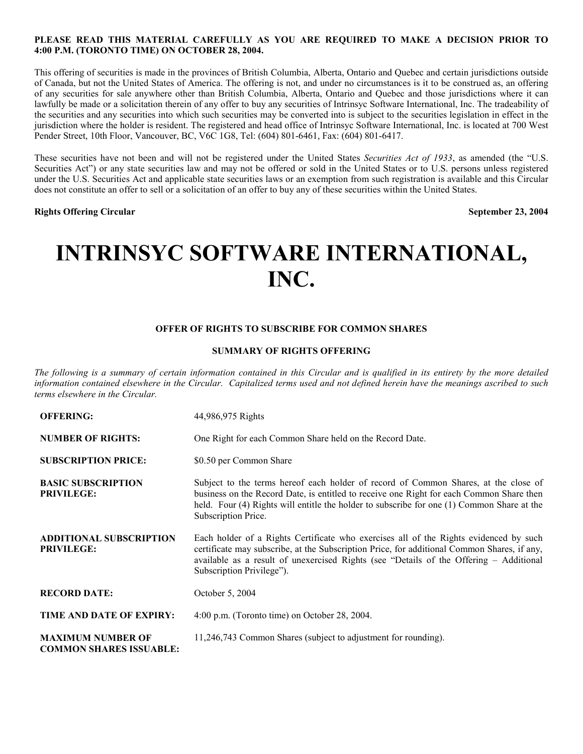#### **PLEASE READ THIS MATERIAL CAREFULLY AS YOU ARE REQUIRED TO MAKE A DECISION PRIOR TO 4:00 P.M. (TORONTO TIME) ON OCTOBER 28, 2004.**

This offering of securities is made in the provinces of British Columbia, Alberta, Ontario and Quebec and certain jurisdictions outside of Canada, but not the United States of America. The offering is not, and under no circumstances is it to be construed as, an offering of any securities for sale anywhere other than British Columbia, Alberta, Ontario and Quebec and those jurisdictions where it can lawfully be made or a solicitation therein of any offer to buy any securities of Intrinsyc Software International, Inc. The tradeability of the securities and any securities into which such securities may be converted into is subject to the securities legislation in effect in the jurisdiction where the holder is resident. The registered and head office of Intrinsyc Software International, Inc. is located at 700 West Pender Street, 10th Floor, Vancouver, BC, V6C 1G8, Tel: (604) 801-6461, Fax: (604) 801-6417.

These securities have not been and will not be registered under the United States *Securities Act of 1933*, as amended (the "U.S. Securities Act") or any state securities law and may not be offered or sold in the United States or to U.S. persons unless registered under the U.S. Securities Act and applicable state securities laws or an exemption from such registration is available and this Circular does not constitute an offer to sell or a solicitation of an offer to buy any of these securities within the United States.

**Rights Offering Circular September 23, 2004**

# **INTRINSYC SOFTWARE INTERNATIONAL, INC.**

#### **OFFER OF RIGHTS TO SUBSCRIBE FOR COMMON SHARES**

#### **SUMMARY OF RIGHTS OFFERING**

The following is a summary of certain information contained in this Circular and is qualified in its entirety by the more detailed information contained elsewhere in the Circular. Capitalized terms used and not defined herein have the meanings ascribed to such *terms elsewhere in the Circular.*

| <b>OFFERING:</b>                                           | 44,986,975 Rights                                                                                                                                                                                                                                                                                           |
|------------------------------------------------------------|-------------------------------------------------------------------------------------------------------------------------------------------------------------------------------------------------------------------------------------------------------------------------------------------------------------|
| <b>NUMBER OF RIGHTS:</b>                                   | One Right for each Common Share held on the Record Date.                                                                                                                                                                                                                                                    |
| <b>SUBSCRIPTION PRICE:</b>                                 | \$0.50 per Common Share                                                                                                                                                                                                                                                                                     |
| <b>BASIC SUBSCRIPTION</b><br><b>PRIVILEGE:</b>             | Subject to the terms hereof each holder of record of Common Shares, at the close of<br>business on the Record Date, is entitled to receive one Right for each Common Share then<br>held. Four (4) Rights will entitle the holder to subscribe for one (1) Common Share at the<br>Subscription Price.        |
| <b>ADDITIONAL SUBSCRIPTION</b><br><b>PRIVILEGE:</b>        | Each holder of a Rights Certificate who exercises all of the Rights evidenced by such<br>certificate may subscribe, at the Subscription Price, for additional Common Shares, if any,<br>available as a result of unexercised Rights (see "Details of the Offering – Additional<br>Subscription Privilege"). |
| <b>RECORD DATE:</b>                                        | October 5, 2004                                                                                                                                                                                                                                                                                             |
| TIME AND DATE OF EXPIRY:                                   | $4:00$ p.m. (Toronto time) on October 28, 2004.                                                                                                                                                                                                                                                             |
| <b>MAXIMUM NUMBER OF</b><br><b>COMMON SHARES ISSUABLE:</b> | 11,246,743 Common Shares (subject to adjustment for rounding).                                                                                                                                                                                                                                              |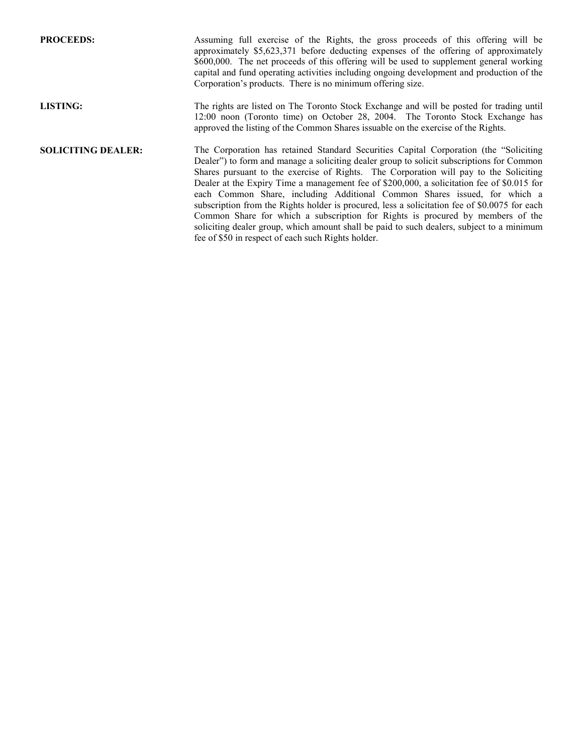| <b>PROCEEDS:</b>          | Assuming full exercise of the Rights, the gross proceeds of this offering will be<br>approximately \$5,623,371 before deducting expenses of the offering of approximately<br>\$600,000. The net proceeds of this offering will be used to supplement general working<br>capital and fund operating activities including ongoing development and production of the<br>Corporation's products. There is no minimum offering size.                                                                                                                                                                                                                                                                                                                                                                |
|---------------------------|------------------------------------------------------------------------------------------------------------------------------------------------------------------------------------------------------------------------------------------------------------------------------------------------------------------------------------------------------------------------------------------------------------------------------------------------------------------------------------------------------------------------------------------------------------------------------------------------------------------------------------------------------------------------------------------------------------------------------------------------------------------------------------------------|
| <b>LISTING:</b>           | The rights are listed on The Toronto Stock Exchange and will be posted for trading until<br>12:00 noon (Toronto time) on October 28, 2004. The Toronto Stock Exchange has<br>approved the listing of the Common Shares is suable on the exercise of the Rights.                                                                                                                                                                                                                                                                                                                                                                                                                                                                                                                                |
| <b>SOLICITING DEALER:</b> | The Corporation has retained Standard Securities Capital Corporation (the "Soliciting")<br>Dealer") to form and manage a soliciting dealer group to solicit subscriptions for Common<br>Shares pursuant to the exercise of Rights. The Corporation will pay to the Soliciting<br>Dealer at the Expiry Time a management fee of \$200,000, a solicitation fee of \$0.015 for<br>each Common Share, including Additional Common Shares issued, for which a<br>subscription from the Rights holder is procured, less a solicitation fee of \$0.0075 for each<br>Common Share for which a subscription for Rights is procured by members of the<br>soliciting dealer group, which amount shall be paid to such dealers, subject to a minimum<br>fee of \$50 in respect of each such Rights holder. |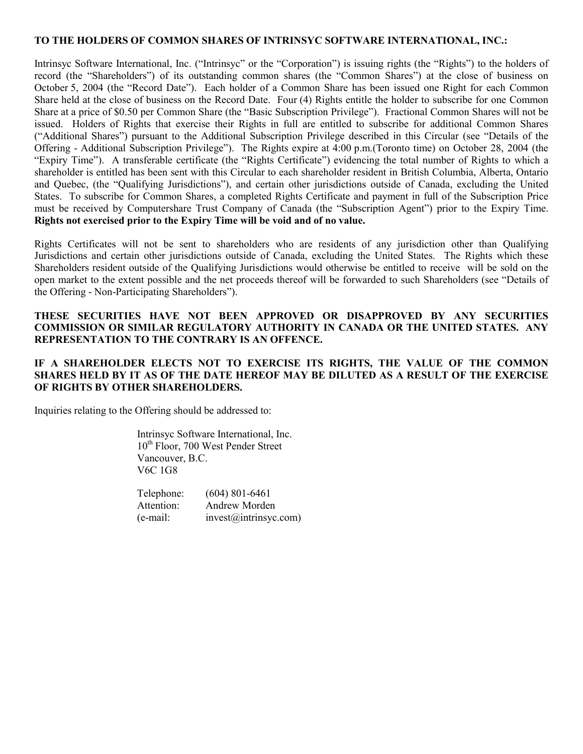#### **TO THE HOLDERS OF COMMON SHARES OF INTRINSYC SOFTWARE INTERNATIONAL, INC.:**

Intrinsyc Software International, Inc. ("Intrinsyc" or the "Corporation") is issuing rights (the "Rights") to the holders of record (the "Shareholders") of its outstanding common shares (the "Common Shares") at the close of business on October 5, 2004 (the "Record Date"). Each holder of a Common Share has been issued one Right for each Common Share held at the close of business on the Record Date. Four (4) Rights entitle the holder to subscribe for one Common Share at a price of \$0.50 per Common Share (the "Basic Subscription Privilege"). Fractional Common Shares will not be issued. Holders of Rights that exercise their Rights in full are entitled to subscribe for additional Common Shares ("Additional Shares") pursuant to the Additional Subscription Privilege described in this Circular (see "Details of the Offering - Additional Subscription Privilege"). The Rights expire at 4:00 p.m.(Toronto time) on October 28, 2004 (the "Expiry Time"). A transferable certificate (the "Rights Certificate") evidencing the total number of Rights to which a shareholder is entitled has been sent with this Circular to each shareholder resident in British Columbia, Alberta, Ontario and Quebec, (the "Qualifying Jurisdictions"), and certain other jurisdictions outside of Canada, excluding the United States. To subscribe for Common Shares, a completed Rights Certificate and payment in full of the Subscription Price must be received by Computershare Trust Company of Canada (the "Subscription Agent") prior to the Expiry Time. **Rights not exercised prior to the Expiry Time will be void and of no value.**

Rights Certificates will not be sent to shareholders who are residents of any jurisdiction other than Qualifying Jurisdictions and certain other jurisdictions outside of Canada, excluding the United States. The Rights which these Shareholders resident outside of the Qualifying Jurisdictions would otherwise be entitled to receive will be sold on the open market to the extent possible and the net proceeds thereof will be forwarded to such Shareholders (see "Details of the Offering - Non-Participating Shareholders").

## **THESE SECURITIES HAVE NOT BEEN APPROVED OR DISAPPROVED BY ANY SECURITIES COMMISSION OR SIMILAR REGULATORY AUTHORITY IN CANADA OR THE UNITED STATES. ANY REPRESENTATION TO THE CONTRARY IS AN OFFENCE.**

## **IF A SHAREHOLDER ELECTS NOT TO EXERCISE ITS RIGHTS, THE VALUE OF THE COMMON SHARES HELD BY IT AS OF THE DATE HEREOF MAY BE DILUTED AS A RESULT OF THE EXERCISE OF RIGHTS BY OTHER SHAREHOLDERS.**

Inquiries relating to the Offering should be addressed to:

Intrinsyc Software International, Inc. 10<sup>th</sup> Floor, 700 West Pender Street Vancouver, B.C. V6C 1G8

| Telephone: | $(604)$ 801-6461      |
|------------|-----------------------|
| Attention: | Andrew Morden         |
| (e-mail:   | invest@intrinsyc.com) |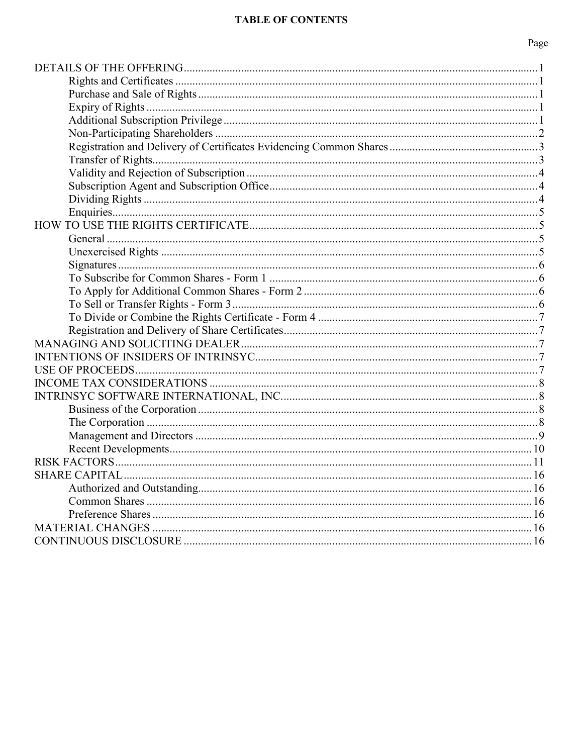# **TABLE OF CONTENTS**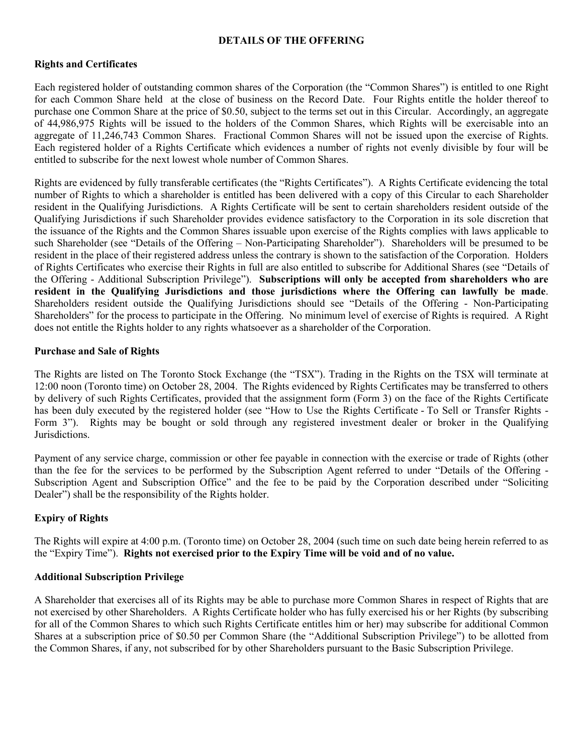### **DETAILS OF THE OFFERING**

## **Rights and Certificates**

Each registered holder of outstanding common shares of the Corporation (the "Common Shares") is entitled to one Right for each Common Share held at the close of business on the Record Date. Four Rights entitle the holder thereof to purchase one Common Share at the price of \$0.50, subject to the terms set out in this Circular. Accordingly, an aggregate of 44,986,975 Rights will be issued to the holders of the Common Shares, which Rights will be exercisable into an aggregate of 11,246,743 Common Shares. Fractional Common Shares will not be issued upon the exercise of Rights. Each registered holder of a Rights Certificate which evidences a number of rights not evenly divisible by four will be entitled to subscribe for the next lowest whole number of Common Shares.

Rights are evidenced by fully transferable certificates (the "Rights Certificates"). A Rights Certificate evidencing the total number of Rights to which a shareholder is entitled has been delivered with a copy of this Circular to each Shareholder resident in the Qualifying Jurisdictions. A Rights Certificate will be sent to certain shareholders resident outside of the Qualifying Jurisdictions if such Shareholder provides evidence satisfactory to the Corporation in its sole discretion that the issuance of the Rights and the Common Shares issuable upon exercise of the Rights complies with laws applicable to such Shareholder (see "Details of the Offering – Non-Participating Shareholder"). Shareholders will be presumed to be resident in the place of their registered address unless the contrary is shown to the satisfaction of the Corporation. Holders of Rights Certificates who exercise their Rights in full are also entitled to subscribe for Additional Shares (see "Details of the Offering - Additional Subscription Privilege"). **Subscriptions will only be accepted from shareholders who are resident in the Qualifying Jurisdictions and those jurisdictions where the Offering can lawfully be made**. Shareholders resident outside the Qualifying Jurisdictions should see "Details of the Offering - Non-Participating Shareholders" for the process to participate in the Offering. No minimum level of exercise of Rights is required. A Right does not entitle the Rights holder to any rights whatsoever as a shareholder of the Corporation.

## **Purchase and Sale of Rights**

The Rights are listed on The Toronto Stock Exchange (the "TSX"). Trading in the Rights on the TSX will terminate at 12:00 noon (Toronto time) on October 28, 2004. The Rights evidenced by Rights Certificates may be transferred to others by delivery of such Rights Certificates, provided that the assignment form (Form 3) on the face of the Rights Certificate has been duly executed by the registered holder (see "How to Use the Rights Certificate - To Sell or Transfer Rights - Form 3"). Rights may be bought or sold through any registered investment dealer or broker in the Qualifying Jurisdictions.

Payment of any service charge, commission or other fee payable in connection with the exercise or trade of Rights (other than the fee for the services to be performed by the Subscription Agent referred to under "Details of the Offering - Subscription Agent and Subscription Office" and the fee to be paid by the Corporation described under "Soliciting Dealer") shall be the responsibility of the Rights holder.

# **Expiry of Rights**

The Rights will expire at 4:00 p.m. (Toronto time) on October 28, 2004 (such time on such date being herein referred to as the "Expiry Time"). **Rights not exercised prior to the Expiry Time will be void and of no value.**

### **Additional Subscription Privilege**

A Shareholder that exercises all of its Rights may be able to purchase more Common Shares in respect of Rights that are not exercised by other Shareholders. A Rights Certificate holder who has fully exercised his or her Rights (by subscribing for all of the Common Shares to which such Rights Certificate entitles him or her) may subscribe for additional Common Shares at a subscription price of \$0.50 per Common Share (the "Additional Subscription Privilege") to be allotted from the Common Shares, if any, not subscribed for by other Shareholders pursuant to the Basic Subscription Privilege.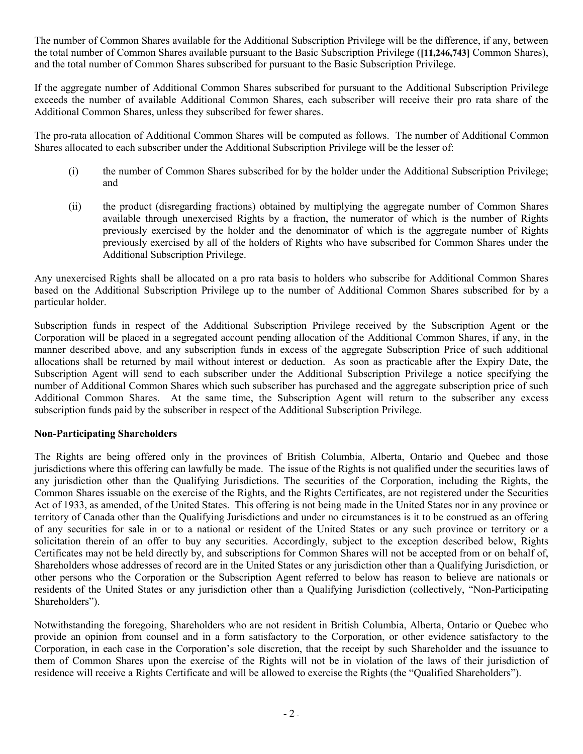The number of Common Shares available for the Additional Subscription Privilege will be the difference, if any, between the total number of Common Shares available pursuant to the Basic Subscription Privilege (**[11,246,743]** Common Shares), and the total number of Common Shares subscribed for pursuant to the Basic Subscription Privilege.

If the aggregate number of Additional Common Shares subscribed for pursuant to the Additional Subscription Privilege exceeds the number of available Additional Common Shares, each subscriber will receive their pro rata share of the Additional Common Shares, unless they subscribed for fewer shares.

The pro-rata allocation of Additional Common Shares will be computed as follows. The number of Additional Common Shares allocated to each subscriber under the Additional Subscription Privilege will be the lesser of:

- (i) the number of Common Shares subscribed for by the holder under the Additional Subscription Privilege; and
- (ii) the product (disregarding fractions) obtained by multiplying the aggregate number of Common Shares available through unexercised Rights by a fraction, the numerator of which is the number of Rights previously exercised by the holder and the denominator of which is the aggregate number of Rights previously exercised by all of the holders of Rights who have subscribed for Common Shares under the Additional Subscription Privilege.

Any unexercised Rights shall be allocated on a pro rata basis to holders who subscribe for Additional Common Shares based on the Additional Subscription Privilege up to the number of Additional Common Shares subscribed for by a particular holder.

Subscription funds in respect of the Additional Subscription Privilege received by the Subscription Agent or the Corporation will be placed in a segregated account pending allocation of the Additional Common Shares, if any, in the manner described above, and any subscription funds in excess of the aggregate Subscription Price of such additional allocations shall be returned by mail without interest or deduction. As soon as practicable after the Expiry Date, the Subscription Agent will send to each subscriber under the Additional Subscription Privilege a notice specifying the number of Additional Common Shares which such subscriber has purchased and the aggregate subscription price of such Additional Common Shares. At the same time, the Subscription Agent will return to the subscriber any excess subscription funds paid by the subscriber in respect of the Additional Subscription Privilege.

# **Non-Participating Shareholders**

The Rights are being offered only in the provinces of British Columbia, Alberta, Ontario and Quebec and those jurisdictions where this offering can lawfully be made. The issue of the Rights is not qualified under the securities laws of any jurisdiction other than the Qualifying Jurisdictions. The securities of the Corporation, including the Rights, the Common Shares issuable on the exercise of the Rights, and the Rights Certificates, are not registered under the Securities Act of 1933, as amended, of the United States. This offering is not being made in the United States nor in any province or territory of Canada other than the Qualifying Jurisdictions and under no circumstances is it to be construed as an offering of any securities for sale in or to a national or resident of the United States or any such province or territory or a solicitation therein of an offer to buy any securities. Accordingly, subject to the exception described below, Rights Certificates may not be held directly by, and subscriptions for Common Shares will not be accepted from or on behalf of, Shareholders whose addresses of record are in the United States or any jurisdiction other than a Qualifying Jurisdiction, or other persons who the Corporation or the Subscription Agent referred to below has reason to believe are nationals or residents of the United States or any jurisdiction other than a Qualifying Jurisdiction (collectively, "Non-Participating Shareholders").

Notwithstanding the foregoing, Shareholders who are not resident in British Columbia, Alberta, Ontario or Quebec who provide an opinion from counsel and in a form satisfactory to the Corporation, or other evidence satisfactory to the Corporation, in each case in the Corporation's sole discretion, that the receipt by such Shareholder and the issuance to them of Common Shares upon the exercise of the Rights will not be in violation of the laws of their jurisdiction of residence will receive a Rights Certificate and will be allowed to exercise the Rights (the "Qualified Shareholders").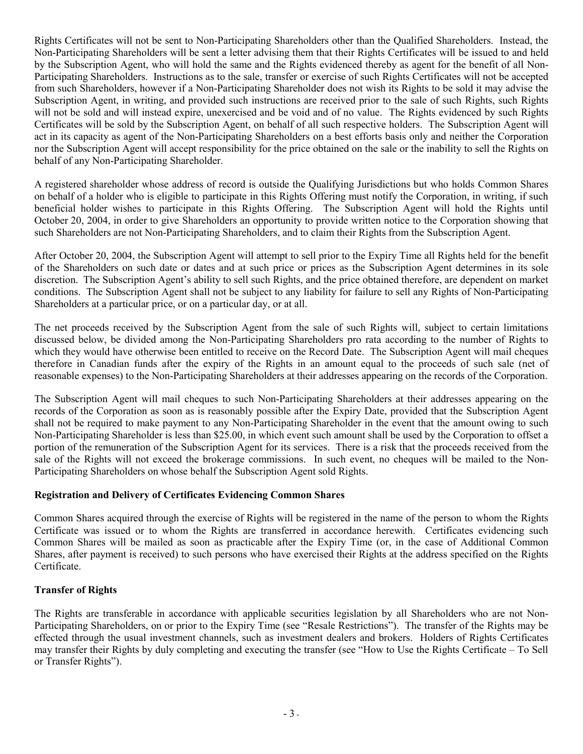Rights Certificates will not be sent to Non-Participating Shareholders other than the Qualified Shareholders. Instead, the Non-Participating Shareholders will be sent a letter advising them that their Rights Certificates will be issued to and held by the Subscription Agent, who will hold the same and the Rights evidenced thereby as agent for the benefit of all Non-Participating Shareholders. Instructions as to the sale, transfer or exercise of such Rights Certificates will not be accepted from such Shareholders, however if a Non-Participating Shareholder does not wish its Rights to be sold it may advise the Subscription Agent, in writing, and provided such instructions are received prior to the sale of such Rights, such Rights will not be sold and will instead expire, unexercised and be void and of no value. The Rights evidenced by such Rights Certificates will be sold by the Subscription Agent, on behalf of all such respective holders. The Subscription Agent will act in its capacity as agent of the Non-Participating Shareholders on a best efforts basis only and neither the Corporation nor the Subscription Agent will accept responsibility for the price obtained on the sale or the inability to sell the Rights on behalf of any Non-Participating Shareholder.

A registered shareholder whose address of record is outside the Qualifying Jurisdictions but who holds Common Shares on behalf of a holder who is eligible to participate in this Rights Offering must notify the Corporation, in writing, if such beneficial holder wishes to participate in this Rights Offering. The Subscription Agent will hold the Rights until October 20, 2004, in order to give Shareholders an opportunity to provide written notice to the Corporation showing that such Shareholders are not Non-Participating Shareholders, and to claim their Rights from the Subscription Agent.

After October 20, 2004, the Subscription Agent will attempt to sell prior to the Expiry Time all Rights held for the benefit of the Shareholders on such date or dates and at such price or prices as the Subscription Agent determines in its sole discretion. The Subscription Agent's ability to sell such Rights, and the price obtained therefore, are dependent on market conditions. The Subscription Agent shall not be subject to any liability for failure to sell any Rights of Non-Participating Shareholders at a particular price, or on a particular day, or at all.

The net proceeds received by the Subscription Agent from the sale of such Rights will, subject to certain limitations discussed below, be divided among the Non-Participating Shareholders pro rata according to the number of Rights to which they would have otherwise been entitled to receive on the Record Date. The Subscription Agent will mail cheques therefore in Canadian funds after the expiry of the Rights in an amount equal to the proceeds of such sale (net of reasonable expenses) to the Non-Participating Shareholders at their addresses appearing on the records of the Corporation.

The Subscription Agent will mail cheques to such Non-Participating Shareholders at their addresses appearing on the records of the Corporation as soon as is reasonably possible after the Expiry Date, provided that the Subscription Agent shall not be required to make payment to any Non-Participating Shareholder in the event that the amount owing to such Non-Participating Shareholder is less than \$25.00, in which event such amount shall be used by the Corporation to offset a portion of the remuneration of the Subscription Agent for its services. There is a risk that the proceeds received from the sale of the Rights will not exceed the brokerage commissions. In such event, no cheques will be mailed to the Non-Participating Shareholders on whose behalf the Subscription Agent sold Rights.

# **Registration and Delivery of Certificates Evidencing Common Shares**

Common Shares acquired through the exercise of Rights will be registered in the name of the person to whom the Rights Certificate was issued or to whom the Rights are transferred in accordance herewith. Certificates evidencing such Common Shares will be mailed as soon as practicable after the Expiry Time (or, in the case of Additional Common Shares, after payment is received) to such persons who have exercised their Rights at the address specified on the Rights Certificate.

# **Transfer of Rights**

The Rights are transferable in accordance with applicable securities legislation by all Shareholders who are not Non-Participating Shareholders, on or prior to the Expiry Time (see "Resale Restrictions"). The transfer of the Rights may be effected through the usual investment channels, such as investment dealers and brokers. Holders of Rights Certificates may transfer their Rights by duly completing and executing the transfer (see "How to Use the Rights Certificate – To Sell or Transfer Rights").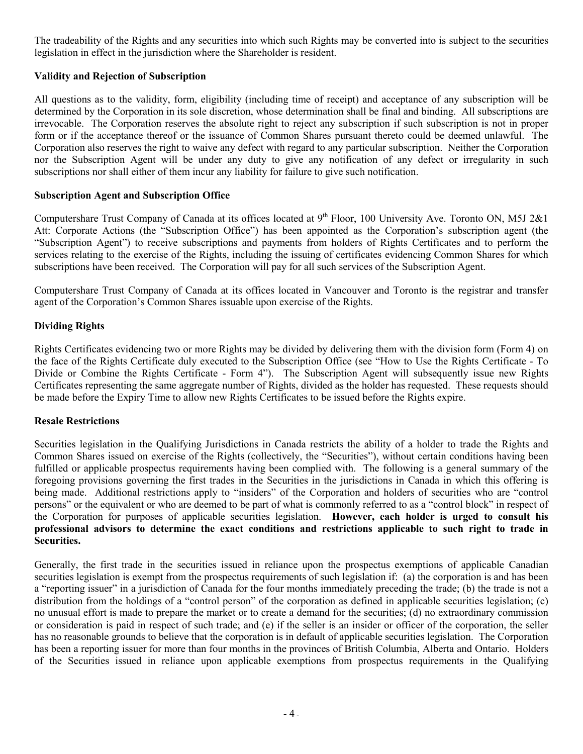The tradeability of the Rights and any securities into which such Rights may be converted into is subject to the securities legislation in effect in the jurisdiction where the Shareholder is resident.

# **Validity and Rejection of Subscription**

All questions as to the validity, form, eligibility (including time of receipt) and acceptance of any subscription will be determined by the Corporation in its sole discretion, whose determination shall be final and binding. All subscriptions are irrevocable. The Corporation reserves the absolute right to reject any subscription if such subscription is not in proper form or if the acceptance thereof or the issuance of Common Shares pursuant thereto could be deemed unlawful. The Corporation also reserves the right to waive any defect with regard to any particular subscription. Neither the Corporation nor the Subscription Agent will be under any duty to give any notification of any defect or irregularity in such subscriptions nor shall either of them incur any liability for failure to give such notification.

## **Subscription Agent and Subscription Office**

Computershare Trust Company of Canada at its offices located at  $9<sup>th</sup>$  Floor, 100 University Ave. Toronto ON, M5J 2&1 Att: Corporate Actions (the "Subscription Office") has been appointed as the Corporation's subscription agent (the "Subscription Agent") to receive subscriptions and payments from holders of Rights Certificates and to perform the services relating to the exercise of the Rights, including the issuing of certificates evidencing Common Shares for which subscriptions have been received. The Corporation will pay for all such services of the Subscription Agent.

Computershare Trust Company of Canada at its offices located in Vancouver and Toronto is the registrar and transfer agent of the Corporation's Common Shares issuable upon exercise of the Rights.

# **Dividing Rights**

Rights Certificates evidencing two or more Rights may be divided by delivering them with the division form (Form 4) on the face of the Rights Certificate duly executed to the Subscription Office (see "How to Use the Rights Certificate - To Divide or Combine the Rights Certificate - Form 4"). The Subscription Agent will subsequently issue new Rights Certificates representing the same aggregate number of Rights, divided as the holder has requested. These requests should be made before the Expiry Time to allow new Rights Certificates to be issued before the Rights expire.

# **Resale Restrictions**

Securities legislation in the Qualifying Jurisdictions in Canada restricts the ability of a holder to trade the Rights and Common Shares issued on exercise of the Rights (collectively, the "Securities"), without certain conditions having been fulfilled or applicable prospectus requirements having been complied with. The following is a general summary of the foregoing provisions governing the first trades in the Securities in the jurisdictions in Canada in which this offering is being made. Additional restrictions apply to "insiders" of the Corporation and holders of securities who are "control persons" or the equivalent or who are deemed to be part of what is commonly referred to as a "control block" in respect of the Corporation for purposes of applicable securities legislation. **However, each holder is urged to consult his professional advisors to determine the exact conditions and restrictions applicable to such right to trade in Securities.**

Generally, the first trade in the securities issued in reliance upon the prospectus exemptions of applicable Canadian securities legislation is exempt from the prospectus requirements of such legislation if: (a) the corporation is and has been a "reporting issuer" in a jurisdiction of Canada for the four months immediately preceding the trade; (b) the trade is not a distribution from the holdings of a "control person" of the corporation as defined in applicable securities legislation; (c) no unusual effort is made to prepare the market or to create a demand for the securities; (d) no extraordinary commission or consideration is paid in respect of such trade; and (e) if the seller is an insider or officer of the corporation, the seller has no reasonable grounds to believe that the corporation is in default of applicable securities legislation. The Corporation has been a reporting issuer for more than four months in the provinces of British Columbia, Alberta and Ontario. Holders of the Securities issued in reliance upon applicable exemptions from prospectus requirements in the Qualifying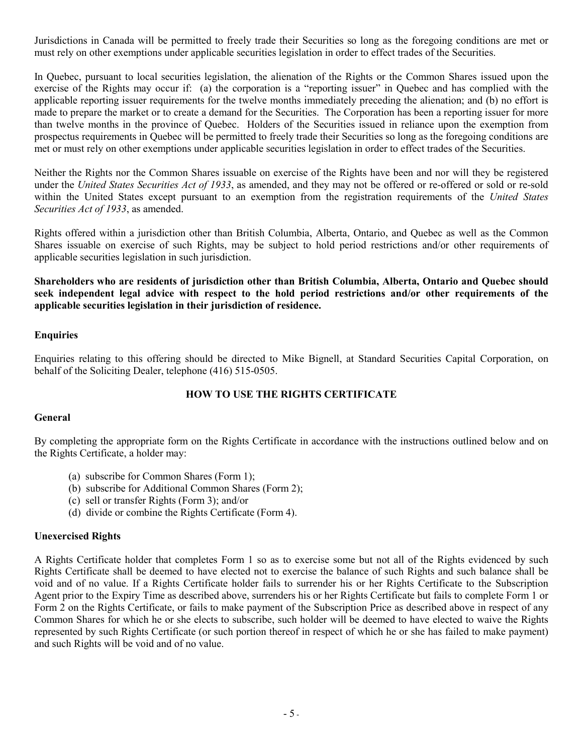Jurisdictions in Canada will be permitted to freely trade their Securities so long as the foregoing conditions are met or must rely on other exemptions under applicable securities legislation in order to effect trades of the Securities.

In Quebec, pursuant to local securities legislation, the alienation of the Rights or the Common Shares issued upon the exercise of the Rights may occur if: (a) the corporation is a "reporting issuer" in Quebec and has complied with the applicable reporting issuer requirements for the twelve months immediately preceding the alienation; and (b) no effort is made to prepare the market or to create a demand for the Securities. The Corporation has been a reporting issuer for more than twelve months in the province of Quebec. Holders of the Securities issued in reliance upon the exemption from prospectus requirements in Quebec will be permitted to freely trade their Securities so long as the foregoing conditions are met or must rely on other exemptions under applicable securities legislation in order to effect trades of the Securities.

Neither the Rights nor the Common Shares issuable on exercise of the Rights have been and nor will they be registered under the *United States Securities Act of 1933*, as amended, and they may not be offered or re-offered or sold or re-sold within the United States except pursuant to an exemption from the registration requirements of the *United States Securities Act of 1933*, as amended.

Rights offered within a jurisdiction other than British Columbia, Alberta, Ontario, and Quebec as well as the Common Shares issuable on exercise of such Rights, may be subject to hold period restrictions and/or other requirements of applicable securities legislation in such jurisdiction.

**Shareholders who are residents of jurisdiction other than British Columbia, Alberta, Ontario and Quebec should seek independent legal advice with respect to the hold period restrictions and/or other requirements of the applicable securities legislation in their jurisdiction of residence.**

# **Enquiries**

Enquiries relating to this offering should be directed to Mike Bignell, at Standard Securities Capital Corporation, on behalf of the Soliciting Dealer, telephone (416) 515-0505.

# **HOW TO USE THE RIGHTS CERTIFICATE**

### **General**

By completing the appropriate form on the Rights Certificate in accordance with the instructions outlined below and on the Rights Certificate, a holder may:

- (a) subscribe for Common Shares (Form 1);
- (b) subscribe for Additional Common Shares (Form 2);
- (c) sell or transfer Rights (Form 3); and/or
- (d) divide or combine the Rights Certificate (Form 4).

### **Unexercised Rights**

A Rights Certificate holder that completes Form 1 so as to exercise some but not all of the Rights evidenced by such Rights Certificate shall be deemed to have elected not to exercise the balance of such Rights and such balance shall be void and of no value. If a Rights Certificate holder fails to surrender his or her Rights Certificate to the Subscription Agent prior to the Expiry Time as described above, surrenders his or her Rights Certificate but fails to complete Form 1 or Form 2 on the Rights Certificate, or fails to make payment of the Subscription Price as described above in respect of any Common Shares for which he or she elects to subscribe, such holder will be deemed to have elected to waive the Rights represented by such Rights Certificate (or such portion thereof in respect of which he or she has failed to make payment) and such Rights will be void and of no value.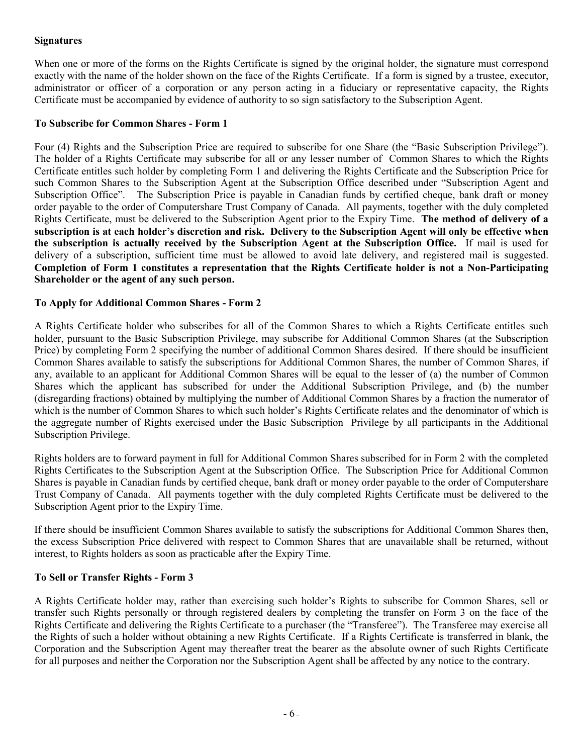## **Signatures**

When one or more of the forms on the Rights Certificate is signed by the original holder, the signature must correspond exactly with the name of the holder shown on the face of the Rights Certificate. If a form is signed by a trustee, executor, administrator or officer of a corporation or any person acting in a fiduciary or representative capacity, the Rights Certificate must be accompanied by evidence of authority to so sign satisfactory to the Subscription Agent.

## **To Subscribe for Common Shares - Form 1**

Four (4) Rights and the Subscription Price are required to subscribe for one Share (the "Basic Subscription Privilege"). The holder of a Rights Certificate may subscribe for all or any lesser number of Common Shares to which the Rights Certificate entitles such holder by completing Form 1 and delivering the Rights Certificate and the Subscription Price for such Common Shares to the Subscription Agent at the Subscription Office described under "Subscription Agent and Subscription Office". The Subscription Price is payable in Canadian funds by certified cheque, bank draft or money order payable to the order of Computershare Trust Company of Canada. All payments, together with the duly completed Rights Certificate, must be delivered to the Subscription Agent prior to the Expiry Time. **The method of delivery of a** subscription is at each holder's discretion and risk. Delivery to the Subscription Agent will only be effective when **the subscription is actually received by the Subscription Agent at the Subscription Office.** If mail is used for delivery of a subscription, sufficient time must be allowed to avoid late delivery, and registered mail is suggested. **Completion of Form 1 constitutes a representation that the Rights Certificate holder is not a Non-Participating Shareholder or the agent of any such person.**

## **To Apply for Additional Common Shares - Form 2**

A Rights Certificate holder who subscribes for all of the Common Shares to which a Rights Certificate entitles such holder, pursuant to the Basic Subscription Privilege, may subscribe for Additional Common Shares (at the Subscription Price) by completing Form 2 specifying the number of additional Common Shares desired. If there should be insufficient Common Shares available to satisfy the subscriptions for Additional Common Shares, the number of Common Shares, if any, available to an applicant for Additional Common Shares will be equal to the lesser of (a) the number of Common Shares which the applicant has subscribed for under the Additional Subscription Privilege, and (b) the number (disregarding fractions) obtained by multiplying the number of Additional Common Shares by a fraction the numerator of which is the number of Common Shares to which such holder's Rights Certificate relates and the denominator of which is the aggregate number of Rights exercised under the Basic Subscription Privilege by all participants in the Additional Subscription Privilege.

Rights holders are to forward payment in full for Additional Common Shares subscribed for in Form 2 with the completed Rights Certificates to the Subscription Agent at the Subscription Office. The Subscription Price for Additional Common Shares is payable in Canadian funds by certified cheque, bank draft or money order payable to the order of Computershare Trust Company of Canada. All payments together with the duly completed Rights Certificate must be delivered to the Subscription Agent prior to the Expiry Time.

If there should be insufficient Common Shares available to satisfy the subscriptions for Additional Common Shares then, the excess Subscription Price delivered with respect to Common Shares that are unavailable shall be returned, without interest, to Rights holders as soon as practicable after the Expiry Time.

### **To Sell or Transfer Rights - Form 3**

A Rights Certificate holder may, rather than exercising such holder's Rights to subscribe for Common Shares, sell or transfer such Rights personally or through registered dealers by completing the transfer on Form 3 on the face of the Rights Certificate and delivering the Rights Certificate to a purchaser (the "Transferee"). The Transferee may exercise all the Rights of such a holder without obtaining a new Rights Certificate. If a Rights Certificate is transferred in blank, the Corporation and the Subscription Agent may thereafter treat the bearer as the absolute owner of such Rights Certificate for all purposes and neither the Corporation nor the Subscription Agent shall be affected by any notice to the contrary.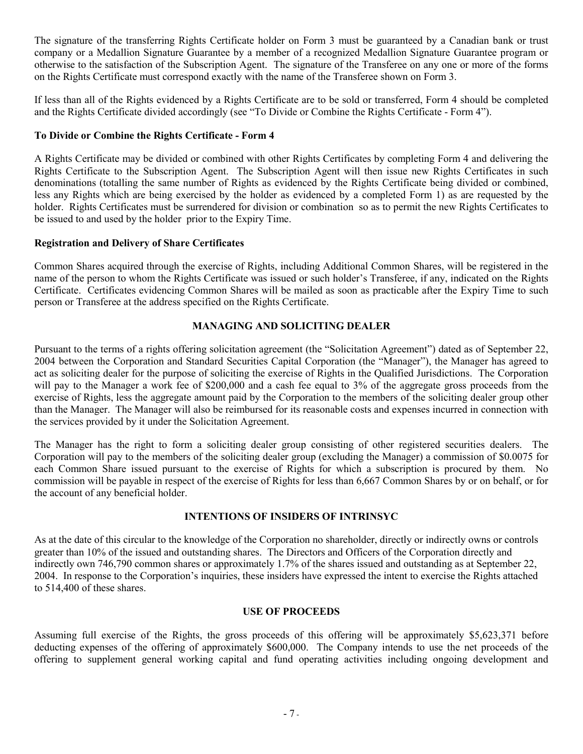The signature of the transferring Rights Certificate holder on Form 3 must be guaranteed by a Canadian bank or trust company or a Medallion Signature Guarantee by a member of a recognized Medallion Signature Guarantee program or otherwise to the satisfaction of the Subscription Agent. The signature of the Transferee on any one or more of the forms on the Rights Certificate must correspond exactly with the name of the Transferee shown on Form 3.

If less than all of the Rights evidenced by a Rights Certificate are to be sold or transferred, Form 4 should be completed and the Rights Certificate divided accordingly (see "To Divide or Combine the Rights Certificate - Form 4").

# **To Divide or Combine the Rights Certificate - Form 4**

A Rights Certificate may be divided or combined with other Rights Certificates by completing Form 4 and delivering the Rights Certificate to the Subscription Agent. The Subscription Agent will then issue new Rights Certificates in such denominations (totalling the same number of Rights as evidenced by the Rights Certificate being divided or combined, less any Rights which are being exercised by the holder as evidenced by a completed Form 1) as are requested by the holder. Rights Certificates must be surrendered for division or combination so as to permit the new Rights Certificates to be issued to and used by the holder prior to the Expiry Time.

# **Registration and Delivery of Share Certificates**

Common Shares acquired through the exercise of Rights, including Additional Common Shares, will be registered in the name of the person to whom the Rights Certificate was issued or such holder's Transferee, if any, indicated on the Rights Certificate. Certificates evidencing Common Shares will be mailed as soon as practicable after the Expiry Time to such person or Transferee at the address specified on the Rights Certificate.

# **MANAGING AND SOLICITING DEALER**

Pursuant to the terms of a rights offering solicitation agreement (the "Solicitation Agreement") dated as of September 22, 2004 between the Corporation and Standard Securities Capital Corporation (the "Manager"), the Manager has agreed to act as soliciting dealer for the purpose of soliciting the exercise of Rights in the Qualified Jurisdictions. The Corporation will pay to the Manager a work fee of \$200,000 and a cash fee equal to 3% of the aggregate gross proceeds from the exercise of Rights, less the aggregate amount paid by the Corporation to the members of the soliciting dealer group other than the Manager. The Manager will also be reimbursed for its reasonable costs and expenses incurred in connection with the services provided by it under the Solicitation Agreement.

The Manager has the right to form a soliciting dealer group consisting of other registered securities dealers. The Corporation will pay to the members of the soliciting dealer group (excluding the Manager) a commission of \$0.0075 for each Common Share issued pursuant to the exercise of Rights for which a subscription is procured by them. No commission will be payable in respect of the exercise of Rights for less than 6,667 Common Shares by or on behalf, or for the account of any beneficial holder.

# **INTENTIONS OF INSIDERS OF INTRINSYC**

As at the date of this circular to the knowledge of the Corporation no shareholder, directly or indirectly owns or controls greater than 10% of the issued and outstanding shares. The Directors and Officers of the Corporation directly and indirectly own 746,790 common shares or approximately 1.7% of the shares issued and outstanding as at September 22, 2004. In response to the Corporation's inquiries, these insiders have expressed the intent to exercise the Rights attached to 514,400 of these shares.

## **USE OF PROCEEDS**

Assuming full exercise of the Rights, the gross proceeds of this offering will be approximately \$5,623,371 before deducting expenses of the offering of approximately \$600,000. The Company intends to use the net proceeds of the offering to supplement general working capital and fund operating activities including ongoing development and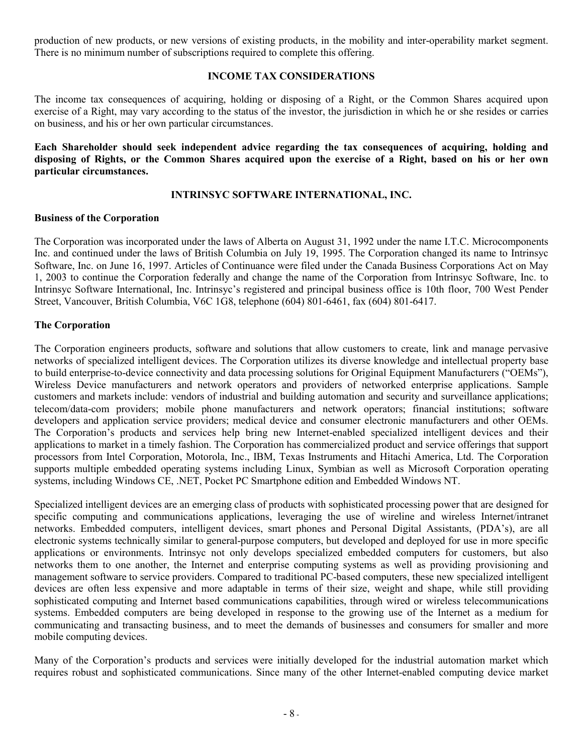production of new products, or new versions of existing products, in the mobility and inter-operability market segment. There is no minimum number of subscriptions required to complete this offering.

## **INCOME TAX CONSIDERATIONS**

The income tax consequences of acquiring, holding or disposing of a Right, or the Common Shares acquired upon exercise of a Right, may vary according to the status of the investor, the jurisdiction in which he or she resides or carries on business, and his or her own particular circumstances.

**Each Shareholder should seek independent advice regarding the tax consequences of acquiring, holding and** disposing of Rights, or the Common Shares acquired upon the exercise of a Right, based on his or her own **particular circumstances.**

### **INTRINSYC SOFTWARE INTERNATIONAL, INC.**

### **Business of the Corporation**

The Corporation was incorporated under the laws of Alberta on August 31, 1992 under the name I.T.C. Microcomponents Inc. and continued under the laws of British Columbia on July 19, 1995. The Corporation changed its name to Intrinsyc Software, Inc. on June 16, 1997. Articles of Continuance were filed under the Canada Business Corporations Act on May 1, 2003 to continue the Corporation federally and change the name of the Corporation from Intrinsyc Software, Inc. to Intrinsyc Software International, Inc. Intrinsyc's registered and principal business office is 10th floor, 700 West Pender Street, Vancouver, British Columbia, V6C 1G8, telephone (604) 801-6461, fax (604) 801-6417.

## **The Corporation**

The Corporation engineers products, software and solutions that allow customers to create, link and manage pervasive networks of specialized intelligent devices. The Corporation utilizes its diverse knowledge and intellectual property base to build enterprise-to-device connectivity and data processing solutions for Original Equipment Manufacturers ("OEMs"), Wireless Device manufacturers and network operators and providers of networked enterprise applications. Sample customers and markets include: vendors of industrial and building automation and security and surveillance applications; telecom/data-com providers; mobile phone manufacturers and network operators; financial institutions; software developers and application service providers; medical device and consumer electronic manufacturers and other OEMs. The Corporation's products and services help bring new Internet-enabled specialized intelligent devices and their applications to market in a timely fashion. The Corporation has commercialized product and service offerings that support processors from Intel Corporation, Motorola, Inc., IBM, Texas Instruments and Hitachi America, Ltd. The Corporation supports multiple embedded operating systems including Linux, Symbian as well as Microsoft Corporation operating systems, including Windows CE, .NET, Pocket PC Smartphone edition and Embedded Windows NT.

Specialized intelligent devices are an emerging class of products with sophisticated processing power that are designed for specific computing and communications applications, leveraging the use of wireline and wireless Internet/intranet networks. Embedded computers, intelligent devices, smart phones and Personal Digital Assistants, (PDA's), are all electronic systems technically similar to general-purpose computers, but developed and deployed for use in more specific applications or environments. Intrinsyc not only develops specialized embedded computers for customers, but also networks them to one another, the Internet and enterprise computing systems as well as providing provisioning and management software to service providers. Compared to traditional PC-based computers, these new specialized intelligent devices are often less expensive and more adaptable in terms of their size, weight and shape, while still providing sophisticated computing and Internet based communications capabilities, through wired or wireless telecommunications systems. Embedded computers are being developed in response to the growing use of the Internet as a medium for communicating and transacting business, and to meet the demands of businesses and consumers for smaller and more mobile computing devices.

Many of the Corporation's products and services were initially developed for the industrial automation market which requires robust and sophisticated communications. Since many of the other Internet-enabled computing device market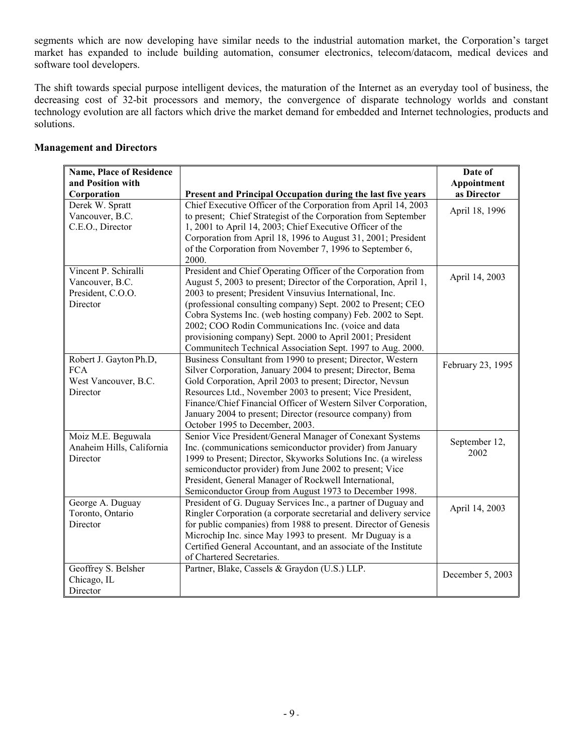segments which are now developing have similar needs to the industrial automation market, the Corporation's target market has expanded to include building automation, consumer electronics, telecom/datacom, medical devices and software tool developers.

The shift towards special purpose intelligent devices, the maturation of the Internet as an everyday tool of business, the decreasing cost of 32-bit processors and memory, the convergence of disparate technology worlds and constant technology evolution are all factors which drive the market demand for embedded and Internet technologies, products and solutions.

# **Management and Directors**

| <b>Name, Place of Residence</b> |                                                                                                                               | Date of           |
|---------------------------------|-------------------------------------------------------------------------------------------------------------------------------|-------------------|
| and Position with               |                                                                                                                               | Appointment       |
| Corporation<br>Derek W. Spratt  | Present and Principal Occupation during the last five years<br>Chief Executive Officer of the Corporation from April 14, 2003 | as Director       |
| Vancouver, B.C.                 | to present; Chief Strategist of the Corporation from September                                                                | April 18, 1996    |
| C.E.O., Director                | 1, 2001 to April 14, 2003; Chief Executive Officer of the                                                                     |                   |
|                                 | Corporation from April 18, 1996 to August 31, 2001; President                                                                 |                   |
|                                 | of the Corporation from November 7, 1996 to September 6,                                                                      |                   |
|                                 | 2000.                                                                                                                         |                   |
| Vincent P. Schiralli            | President and Chief Operating Officer of the Corporation from                                                                 | April 14, 2003    |
| Vancouver, B.C.                 | August 5, 2003 to present; Director of the Corporation, April 1,                                                              |                   |
| President, C.O.O.               | 2003 to present; President Vinsuvius International, Inc.                                                                      |                   |
| Director                        | (professional consulting company) Sept. 2002 to Present; CEO                                                                  |                   |
|                                 | Cobra Systems Inc. (web hosting company) Feb. 2002 to Sept.                                                                   |                   |
|                                 | 2002; COO Rodin Communications Inc. (voice and data                                                                           |                   |
|                                 | provisioning company) Sept. 2000 to April 2001; President                                                                     |                   |
|                                 | Communitech Technical Association Sept. 1997 to Aug. 2000.                                                                    |                   |
| Robert J. Gayton Ph.D,          | Business Consultant from 1990 to present; Director, Western                                                                   | February 23, 1995 |
| <b>FCA</b>                      | Silver Corporation, January 2004 to present; Director, Bema                                                                   |                   |
| West Vancouver, B.C.            | Gold Corporation, April 2003 to present; Director, Nevsun                                                                     |                   |
| Director                        | Resources Ltd., November 2003 to present; Vice President,                                                                     |                   |
|                                 | Finance/Chief Financial Officer of Western Silver Corporation,                                                                |                   |
|                                 | January 2004 to present; Director (resource company) from<br>October 1995 to December, 2003.                                  |                   |
| Moiz M.E. Beguwala              | Senior Vice President/General Manager of Conexant Systems                                                                     |                   |
| Anaheim Hills, California       | Inc. (communications semiconductor provider) from January                                                                     | September 12,     |
| Director                        | 1999 to Present; Director, Skyworks Solutions Inc. (a wireless                                                                | 2002              |
|                                 | semiconductor provider) from June 2002 to present; Vice                                                                       |                   |
|                                 | President, General Manager of Rockwell International,                                                                         |                   |
|                                 | Semiconductor Group from August 1973 to December 1998.                                                                        |                   |
| George A. Duguay                | President of G. Duguay Services Inc., a partner of Duguay and                                                                 |                   |
| Toronto, Ontario                | Ringler Corporation (a corporate secretarial and delivery service                                                             | April 14, 2003    |
| Director                        | for public companies) from 1988 to present. Director of Genesis                                                               |                   |
|                                 | Microchip Inc. since May 1993 to present. Mr Duguay is a                                                                      |                   |
|                                 | Certified General Accountant, and an associate of the Institute                                                               |                   |
|                                 | of Chartered Secretaries.                                                                                                     |                   |
| Geoffrey S. Belsher             | Partner, Blake, Cassels & Graydon (U.S.) LLP.                                                                                 | December 5, 2003  |
| Chicago, IL                     |                                                                                                                               |                   |
| Director                        |                                                                                                                               |                   |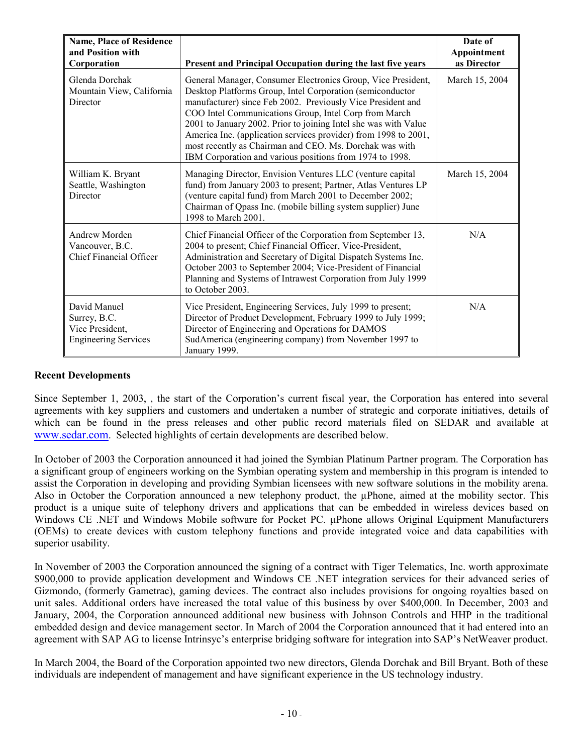| <b>Name, Place of Residence</b><br>and Position with<br>Corporation            | Present and Principal Occupation during the last five years                                                                                                                                                                                                                                                                                                                                                                                                                                                    | Date of<br>Appointment<br>as Director |
|--------------------------------------------------------------------------------|----------------------------------------------------------------------------------------------------------------------------------------------------------------------------------------------------------------------------------------------------------------------------------------------------------------------------------------------------------------------------------------------------------------------------------------------------------------------------------------------------------------|---------------------------------------|
| Glenda Dorchak<br>Mountain View, California<br>Director                        | General Manager, Consumer Electronics Group, Vice President,<br>Desktop Platforms Group, Intel Corporation (semiconductor<br>manufacturer) since Feb 2002. Previously Vice President and<br>COO Intel Communications Group, Intel Corp from March<br>2001 to January 2002. Prior to joining Intel she was with Value<br>America Inc. (application services provider) from 1998 to 2001,<br>most recently as Chairman and CEO. Ms. Dorchak was with<br>IBM Corporation and various positions from 1974 to 1998. | March 15, 2004                        |
| William K. Bryant<br>Seattle, Washington<br>Director                           | Managing Director, Envision Ventures LLC (venture capital<br>fund) from January 2003 to present; Partner, Atlas Ventures LP<br>(venture capital fund) from March 2001 to December 2002;<br>Chairman of Qpass Inc. (mobile billing system supplier) June<br>1998 to March 2001.                                                                                                                                                                                                                                 | March 15, 2004                        |
| <b>Andrew Morden</b><br>Vancouver, B.C.<br>Chief Financial Officer             | Chief Financial Officer of the Corporation from September 13,<br>2004 to present; Chief Financial Officer, Vice-President,<br>Administration and Secretary of Digital Dispatch Systems Inc.<br>October 2003 to September 2004; Vice-President of Financial<br>Planning and Systems of Intrawest Corporation from July 1999<br>to October 2003.                                                                                                                                                                 | N/A                                   |
| David Manuel<br>Surrey, B.C.<br>Vice President,<br><b>Engineering Services</b> | Vice President, Engineering Services, July 1999 to present;<br>Director of Product Development, February 1999 to July 1999;<br>Director of Engineering and Operations for DAMOS<br>SudAmerica (engineering company) from November 1997 to<br>January 1999.                                                                                                                                                                                                                                                     | N/A                                   |

## **Recent Developments**

Since September 1, 2003, , the start of the Corporation's current fiscal year, the Corporation has entered into several agreements with key suppliers and customers and undertaken a number of strategic and corporate initiatives, details of which can be found in the press releases and other public record materials filed on SEDAR and available at www.sedar.com. Selected highlights of certain developments are described below.

In October of 2003 the Corporation announced it had joined the Symbian Platinum Partner program. The Corporation has a significant group of engineers working on the Symbian operating system and membership in this program is intended to assist the Corporation in developing and providing Symbian licensees with new software solutions in the mobility arena. Also in October the Corporation announced a new telephony product, the µPhone, aimed at the mobility sector. This product is a unique suite of telephony drivers and applications that can be embedded in wireless devices based on Windows CE .NET and Windows Mobile software for Pocket PC. µPhone allows Original Equipment Manufacturers (OEMs) to create devices with custom telephony functions and provide integrated voice and data capabilities with superior usability.

In November of 2003 the Corporation announced the signing of a contract with Tiger Telematics, Inc. worth approximate \$900,000 to provide application development and Windows CE .NET integration services for their advanced series of Gizmondo, (formerly Gametrac), gaming devices. The contract also includes provisions for ongoing royalties based on unit sales. Additional orders have increased the total value of this business by over \$400,000. In December, 2003 and January, 2004, the Corporation announced additional new business with Johnson Controls and HHP in the traditional embedded design and device management sector. In March of 2004 the Corporation announced that it had entered into an agreement with SAP AG to license Intrinsyc's enterprise bridging software for integration into SAP's NetWeaver product.

In March 2004, the Board of the Corporation appointed two new directors, Glenda Dorchak and Bill Bryant. Both of these individuals are independent of management and have significant experience in the US technology industry.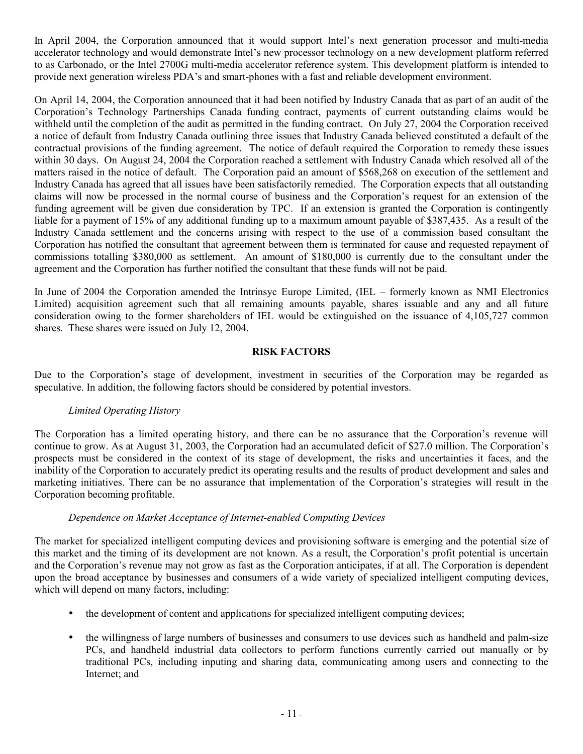In April 2004, the Corporation announced that it would support Intel's next generation processor and multi-media accelerator technology and would demonstrate Intel's new processor technology on a new development platform referred to as Carbonado, or the Intel 2700G multi-media accelerator reference system. This development platform is intended to provide next generation wireless PDA's and smart-phones with a fast and reliable development environment.

On April 14, 2004, the Corporation announced that it had been notified by Industry Canada that as part of an audit of the Corporation's Technology Partnerships Canada funding contract, payments of current outstanding claims would be withheld until the completion of the audit as permitted in the funding contract. On July 27, 2004 the Corporation received a notice of default from Industry Canada outlining three issues that Industry Canada believed constituted a default of the contractual provisions of the funding agreement. The notice of default required the Corporation to remedy these issues within 30 days. On August 24, 2004 the Corporation reached a settlement with Industry Canada which resolved all of the matters raised in the notice of default. The Corporation paid an amount of \$568,268 on execution of the settlement and Industry Canada has agreed that all issues have been satisfactorily remedied. The Corporation expects that all outstanding claims will now be processed in the normal course of business and the Corporation's request for an extension of the funding agreement will be given due consideration by TPC. If an extension is granted the Corporation is contingently liable for a payment of 15% of any additional funding up to a maximum amount payable of \$387,435. As a result of the Industry Canada settlement and the concerns arising with respect to the use of a commission based consultant the Corporation has notified the consultant that agreement between them is terminated for cause and requested repayment of commissions totalling \$380,000 as settlement. An amount of \$180,000 is currently due to the consultant under the agreement and the Corporation has further notified the consultant that these funds will not be paid.

In June of 2004 the Corporation amended the Intrinsyc Europe Limited, (IEL – formerly known as NMI Electronics Limited) acquisition agreement such that all remaining amounts payable, shares issuable and any and all future consideration owing to the former shareholders of IEL would be extinguished on the issuance of 4,105,727 common shares. These shares were issued on July 12, 2004.

## **RISK FACTORS**

Due to the Corporation's stage of development, investment in securities of the Corporation may be regarded as speculative. In addition, the following factors should be considered by potential investors.

# *Limited Operating History*

The Corporation has a limited operating history, and there can be no assurance that the Corporation's revenue will continue to grow. As at August 31, 2003, the Corporation had an accumulated deficit of \$27.0 million. The Corporation's prospects must be considered in the context of its stage of development, the risks and uncertainties it faces, and the inability of the Corporation to accurately predict its operating results and the results of product development and sales and marketing initiatives. There can be no assurance that implementation of the Corporation's strategies will result in the Corporation becoming profitable.

# *Dependence on Market Acceptance of Internet-enabled Computing Devices*

The market for specialized intelligent computing devices and provisioning software is emerging and the potential size of this market and the timing of its development are not known. As a result, the Corporation's profit potential is uncertain and the Corporation's revenue may not grow as fast as the Corporation anticipates, if at all. The Corporation is dependent upon the broad acceptance by businesses and consumers of a wide variety of specialized intelligent computing devices, which will depend on many factors, including:

- the development of content and applications for specialized intelligent computing devices;
- the willingness of large numbers of businesses and consumers to use devices such as handheld and palm-size PCs, and handheld industrial data collectors to perform functions currently carried out manually or by traditional PCs, including inputing and sharing data, communicating among users and connecting to the Internet; and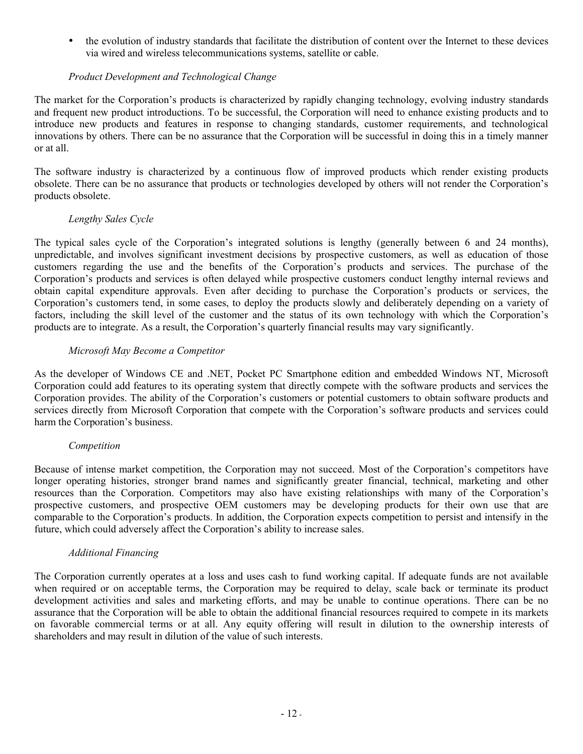• the evolution of industry standards that facilitate the distribution of content over the Internet to these devices via wired and wireless telecommunications systems, satellite or cable.

# *Product Development and Technological Change*

The market for the Corporation's products is characterized by rapidly changing technology, evolving industry standards and frequent new product introductions. To be successful, the Corporation will need to enhance existing products and to introduce new products and features in response to changing standards, customer requirements, and technological innovations by others. There can be no assurance that the Corporation will be successful in doing this in a timely manner or at all.

The software industry is characterized by a continuous flow of improved products which render existing products obsolete. There can be no assurance that products or technologies developed by others will not render the Corporation's products obsolete.

## *Lengthy Sales Cycle*

The typical sales cycle of the Corporation's integrated solutions is lengthy (generally between 6 and 24 months), unpredictable, and involves significant investment decisions by prospective customers, as well as education of those customers regarding the use and the benefits of the Corporation's products and services. The purchase of the Corporation's products and services is often delayed while prospective customers conduct lengthy internal reviews and obtain capital expenditure approvals. Even after deciding to purchase the Corporation's products or services, the Corporation's customers tend, in some cases, to deploy the products slowly and deliberately depending on a variety of factors, including the skill level of the customer and the status of its own technology with which the Corporation's products are to integrate. As a result, the Corporation's quarterly financial results may vary significantly.

## *Microsoft May Become a Competitor*

As the developer of Windows CE and .NET, Pocket PC Smartphone edition and embedded Windows NT, Microsoft Corporation could add features to its operating system that directly compete with the software products and services the Corporation provides. The ability of the Corporation's customers or potential customers to obtain software products and services directly from Microsoft Corporation that compete with the Corporation's software products and services could harm the Corporation's business.

# *Competition*

Because of intense market competition, the Corporation may not succeed. Most of the Corporation's competitors have longer operating histories, stronger brand names and significantly greater financial, technical, marketing and other resources than the Corporation. Competitors may also have existing relationships with many of the Corporation's prospective customers, and prospective OEM customers may be developing products for their own use that are comparable to the Corporation's products. In addition, the Corporation expects competition to persist and intensify in the future, which could adversely affect the Corporation's ability to increase sales.

### *Additional Financing*

The Corporation currently operates at a loss and uses cash to fund working capital. If adequate funds are not available when required or on acceptable terms, the Corporation may be required to delay, scale back or terminate its product development activities and sales and marketing efforts, and may be unable to continue operations. There can be no assurance that the Corporation will be able to obtain the additional financial resources required to compete in its markets on favorable commercial terms or at all. Any equity offering will result in dilution to the ownership interests of shareholders and may result in dilution of the value of such interests.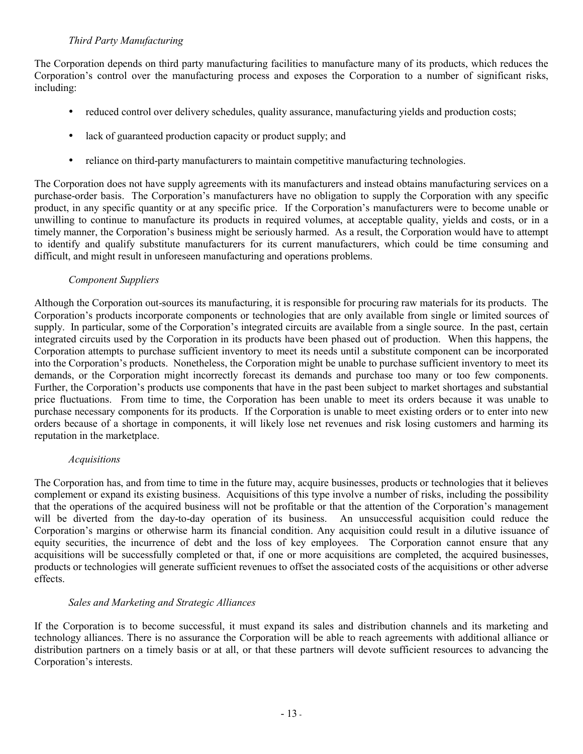## *Third Party Manufacturing*

The Corporation depends on third party manufacturing facilities to manufacture many of its products, which reduces the Corporation's control over the manufacturing process and exposes the Corporation to a number of significant risks, including:

- reduced control over delivery schedules, quality assurance, manufacturing yields and production costs;
- lack of guaranteed production capacity or product supply; and
- reliance on third-party manufacturers to maintain competitive manufacturing technologies.

The Corporation does not have supply agreements with its manufacturers and instead obtains manufacturing services on a purchase-order basis. The Corporation's manufacturers have no obligation to supply the Corporation with any specific product, in any specific quantity or at any specific price. If the Corporation's manufacturers were to become unable or unwilling to continue to manufacture its products in required volumes, at acceptable quality, yields and costs, or in a timely manner, the Corporation's business might be seriously harmed. As a result, the Corporation would have to attempt to identify and qualify substitute manufacturers for its current manufacturers, which could be time consuming and difficult, and might result in unforeseen manufacturing and operations problems.

### *Component Suppliers*

Although the Corporation out-sources its manufacturing, it is responsible for procuring raw materials for its products. The Corporation's products incorporate components or technologies that are only available from single or limited sources of supply. In particular, some of the Corporation's integrated circuits are available from a single source. In the past, certain integrated circuits used by the Corporation in its products have been phased out of production. When this happens, the Corporation attempts to purchase sufficient inventory to meet its needs until a substitute component can be incorporated into the Corporation's products. Nonetheless, the Corporation might be unable to purchase sufficient inventory to meet its demands, or the Corporation might incorrectly forecast its demands and purchase too many or too few components. Further, the Corporation's products use components that have in the past been subject to market shortages and substantial price fluctuations. From time to time, the Corporation has been unable to meet its orders because it was unable to purchase necessary components for its products. If the Corporation is unable to meet existing orders or to enter into new orders because of a shortage in components, it will likely lose net revenues and risk losing customers and harming its reputation in the marketplace.

#### *Acquisitions*

The Corporation has, and from time to time in the future may, acquire businesses, products or technologies that it believes complement or expand its existing business. Acquisitions of this type involve a number of risks, including the possibility that the operations of the acquired business will not be profitable or that the attention of the Corporation's management will be diverted from the day-to-day operation of its business. An unsuccessful acquisition could reduce the Corporation's margins or otherwise harm its financial condition. Any acquisition could result in a dilutive issuance of equity securities, the incurrence of debt and the loss of key employees. The Corporation cannot ensure that any acquisitions will be successfully completed or that, if one or more acquisitions are completed, the acquired businesses, products or technologies will generate sufficient revenues to offset the associated costs of the acquisitions or other adverse effects.

### *Sales and Marketing and Strategic Alliances*

If the Corporation is to become successful, it must expand its sales and distribution channels and its marketing and technology alliances. There is no assurance the Corporation will be able to reach agreements with additional alliance or distribution partners on a timely basis or at all, or that these partners will devote sufficient resources to advancing the Corporation's interests.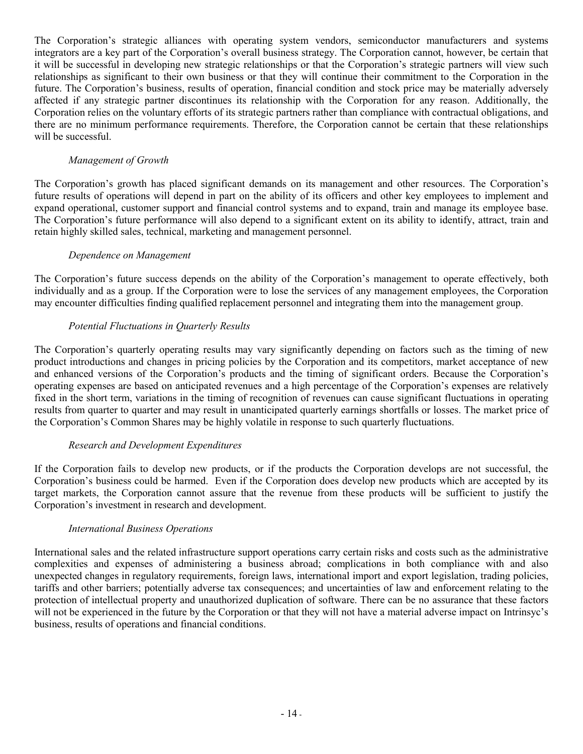The Corporation's strategic alliances with operating system vendors, semiconductor manufacturers and systems integrators are a key part of the Corporation's overall business strategy. The Corporation cannot, however, be certain that it will be successful in developing new strategic relationships or that the Corporation's strategic partners will view such relationships as significant to their own business or that they will continue their commitment to the Corporation in the future. The Corporation's business, results of operation, financial condition and stock price may be materially adversely affected if any strategic partner discontinues its relationship with the Corporation for any reason. Additionally, the Corporation relies on the voluntary efforts of its strategic partners rather than compliance with contractual obligations, and there are no minimum performance requirements. Therefore, the Corporation cannot be certain that these relationships will be successful.

## *Management of Growth*

The Corporation's growth has placed significant demands on its management and other resources. The Corporation's future results of operations will depend in part on the ability of its officers and other key employees to implement and expand operational, customer support and financial control systems and to expand, train and manage its employee base. The Corporation's future performance will also depend to a significant extent on its ability to identify, attract, train and retain highly skilled sales, technical, marketing and management personnel.

### *Dependence on Management*

The Corporation's future success depends on the ability of the Corporation's management to operate effectively, both individually and as a group. If the Corporation were to lose the services of any management employees, the Corporation may encounter difficulties finding qualified replacement personnel and integrating them into the management group.

## *Potential Fluctuations in Quarterly Results*

The Corporation's quarterly operating results may vary significantly depending on factors such as the timing of new product introductions and changes in pricing policies by the Corporation and its competitors, market acceptance of new and enhanced versions of the Corporation's products and the timing of significant orders. Because the Corporation's operating expenses are based on anticipated revenues and a high percentage of the Corporation's expenses are relatively fixed in the short term, variations in the timing of recognition of revenues can cause significant fluctuations in operating results from quarter to quarter and may result in unanticipated quarterly earnings shortfalls or losses. The market price of the Corporation's Common Shares may be highly volatile in response to such quarterly fluctuations.

### *Research and Development Expenditures*

If the Corporation fails to develop new products, or if the products the Corporation develops are not successful, the Corporation's business could be harmed. Even if the Corporation does develop new products which are accepted by its target markets, the Corporation cannot assure that the revenue from these products will be sufficient to justify the Corporation's investment in research and development.

### *International Business Operations*

International sales and the related infrastructure support operations carry certain risks and costs such as the administrative complexities and expenses of administering a business abroad; complications in both compliance with and also unexpected changes in regulatory requirements, foreign laws, international import and export legislation, trading policies, tariffs and other barriers; potentially adverse tax consequences; and uncertainties of law and enforcement relating to the protection of intellectual property and unauthorized duplication of software. There can be no assurance that these factors will not be experienced in the future by the Corporation or that they will not have a material adverse impact on Intrinsyc's business, results of operations and financial conditions.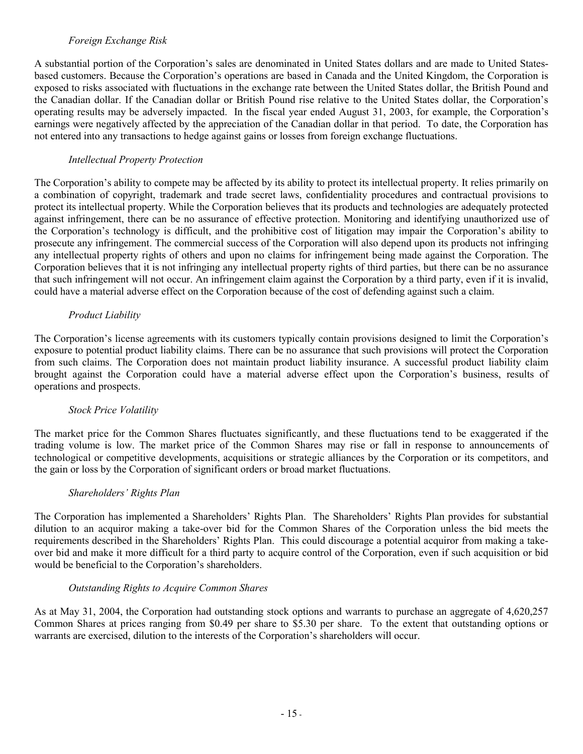# *Foreign Exchange Risk*

A substantial portion of the Corporation's sales are denominated in United States dollars and are made to United Statesbased customers. Because the Corporation's operations are based in Canada and the United Kingdom, the Corporation is exposed to risks associated with fluctuations in the exchange rate between the United States dollar, the British Pound and the Canadian dollar. If the Canadian dollar or British Pound rise relative to the United States dollar, the Corporation's operating results may be adversely impacted. In the fiscal year ended August 31, 2003, for example, the Corporation's earnings were negatively affected by the appreciation of the Canadian dollar in that period. To date, the Corporation has not entered into any transactions to hedge against gains or losses from foreign exchange fluctuations.

## *Intellectual Property Protection*

The Corporation's ability to compete may be affected by its ability to protect its intellectual property. It relies primarily on a combination of copyright, trademark and trade secret laws, confidentiality procedures and contractual provisions to protect its intellectual property. While the Corporation believes that its products and technologies are adequately protected against infringement, there can be no assurance of effective protection. Monitoring and identifying unauthorized use of the Corporation's technology is difficult, and the prohibitive cost of litigation may impair the Corporation's ability to prosecute any infringement. The commercial success of the Corporation will also depend upon its products not infringing any intellectual property rights of others and upon no claims for infringement being made against the Corporation. The Corporation believes that it is not infringing any intellectual property rights of third parties, but there can be no assurance that such infringement will not occur. An infringement claim against the Corporation by a third party, even if it is invalid, could have a material adverse effect on the Corporation because of the cost of defending against such a claim.

## *Product Liability*

The Corporation's license agreements with its customers typically contain provisions designed to limit the Corporation's exposure to potential product liability claims. There can be no assurance that such provisions will protect the Corporation from such claims. The Corporation does not maintain product liability insurance. A successful product liability claim brought against the Corporation could have a material adverse effect upon the Corporation's business, results of operations and prospects.

### *Stock Price Volatility*

The market price for the Common Shares fluctuates significantly, and these fluctuations tend to be exaggerated if the trading volume is low. The market price of the Common Shares may rise or fall in response to announcements of technological or competitive developments, acquisitions or strategic alliances by the Corporation or its competitors, and the gain or loss by the Corporation of significant orders or broad market fluctuations.

### *Shareholders' Rights Plan*

The Corporation has implemented a Shareholders' Rights Plan. The Shareholders' Rights Plan provides for substantial dilution to an acquiror making a take-over bid for the Common Shares of the Corporation unless the bid meets the requirements described in the Shareholders' Rights Plan. This could discourage a potential acquiror from making a takeover bid and make it more difficult for a third party to acquire control of the Corporation, even if such acquisition or bid would be beneficial to the Corporation's shareholders.

### *Outstanding Rights to Acquire Common Shares*

As at May 31, 2004, the Corporation had outstanding stock options and warrants to purchase an aggregate of 4,620,257 Common Shares at prices ranging from \$0.49 per share to \$5.30 per share. To the extent that outstanding options or warrants are exercised, dilution to the interests of the Corporation's shareholders will occur.